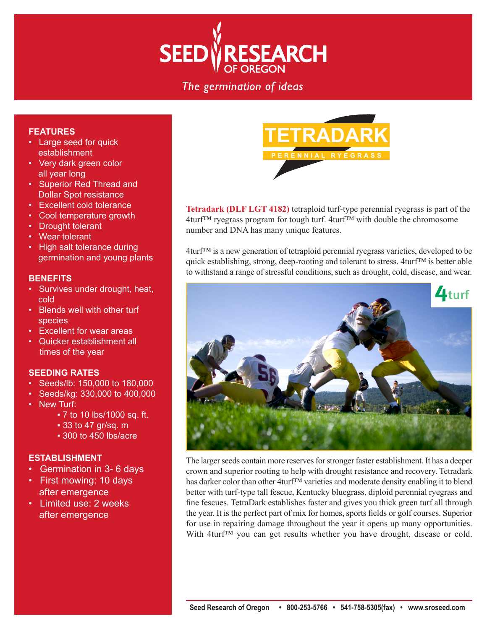

## The germination of ideas

### **FEATURES**

- Large seed for quick establishment
- Very dark green color all year long
- Superior Red Thread and Dollar Spot resistance
- Excellent cold tolerance
- Cool temperature growth
- **Drought tolerant**
- Wear tolerant
- High salt tolerance during germination and young plants

### **BENEFITS**

- Survives under drought, heat, cold
- Blends well with other turf species
- Excellent for wear areas
- Quicker establishment all times of the year

### **SEEDING RATES**

- Seeds/lb: 150,000 to 180,000
- Seeds/kg: 330,000 to 400,000
- New Turf:
	- **▪** 7 to 10 lbs/1000 sq. ft.
		- **▪** 33 to 47 gr/sq. m
		- **▪** 300 to 450 lbs/acre

### **ESTABLISHMENT**

- Germination in 3- 6 days
- First mowing: 10 days after emergence
- Limited use: 2 weeks after emergence



**Tetradark (DLF LGT 4182)** tetraploid turf-type perennial ryegrass is part of the 4turf™ ryegrass program for tough turf. 4turf™ with double the chromosome number and DNA has many unique features.

4turf™ is a new generation of tetraploid perennial ryegrass varieties, developed to be quick establishing, strong, deep-rooting and tolerant to stress. 4turf™ is better able to withstand a range of stressful conditions, such as drought, cold, disease, and wear.



The larger seeds contain more reserves for stronger faster establishment. It has a deeper crown and superior rooting to help with drought resistance and recovery. Tetradark has darker color than other 4turf<sup>™</sup> varieties and moderate density enabling it to blend better with turf-type tall fescue, Kentucky bluegrass, diploid perennial ryegrass and fine fescues. TetraDark establishes faster and gives you thick green turf all through the year. It is the perfect part of mix for homes, sports fields or golf courses. Superior for use in repairing damage throughout the year it opens up many opportunities. With 4turf™ you can get results whether you have drought, disease or cold.